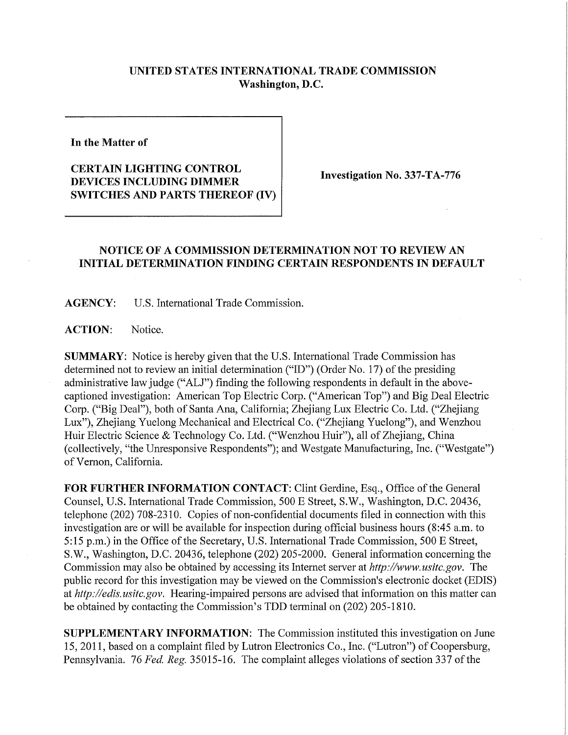## **UNITED STATES INTERNATIONAL TRADE COMMISSION Washington, D.C.**

**In the Matter of** 

## **CERTAIN LIGHTING CONTROL DEVICES INCLUDING DIMMER SWITCHES AND PARTS THEREOF (IV)**

**Investigation No. 337-TA-776** 

## **NOTICE OF A COMMISSION DETERMINATION NOT TO REVIEW AN INITIAL DETERMINATION FINDING CERTAIN RESPONDENTS IN DEFAULT**

**AGENCY:** U.S. International Trade Commission.

ACTION: Notice.

**SUMMARY:** Notice is hereby given that the U.S. International Trade Commission has determined not to review an initial determination ("ID") (Order No. 17) of the presiding administrative law judge ("ALJ") finding the following respondents in default in the abovecaptioned investigation: American Top Electric Corp. ("American Top") and Big Deal Electric Corp. ("Big Deal"), both of Santa Ana, California; Zhejiang Lux Electric Co. Ltd. ("Zhejiang Lux"), Zhejiang Yuelong Mechanical and Electrical Co. ("Zhejiang Yuelong"), and Wenzhou Huir Electric Science & Technology Co. Ltd. ("Wenzhou Huir"), all of Zhejiang, China (collectively, "the Umesponsive Respondents"); and Westgate Manufacturing, Inc. ("Westgate") of Vernon, California.

**FOR FURTHER INFORMATION CONTACT:** Clint Gerdine, Esq., Office of the General Counsel, U.S. International Trade Commission, 500 E Street, S.W., Washington, D.C. 20436, telephone (202) 708-2310. Copies of non-confidential documents filed in connection with this investigation are or will be available for inspection during official business hours (8:45 a.m. to 5:15 p.m.) in the Office of the Secretary, U.S. International Trade Commission, 500 E Street, S.W., Washington, D.C. 20436, telephone (202) 205-2000. General infonnation concerning the Commission may also be obtained by accessing its Internet server at *http://www.usitc.gov.* The public record for this investigation may be viewed on the Commission's electronic docket (EDIS) at *http://edis.usitc.gov.* Hearing-impaired persons are advised that information on this matter can be obtained by contacting the Commission's TDD terminal on (202) 205-1810.

**SUPPLEMENTARY INFORMATION:** The Commission instituted this investigation on June 15, 2011, based on a complaint filed by Lutron Electronics Co., Inc. ("Lutron") of Coopersburg, Pennsylvania. 76 *Fed, Reg.* 35015-16. The complaint alleges violations of section 337 of the